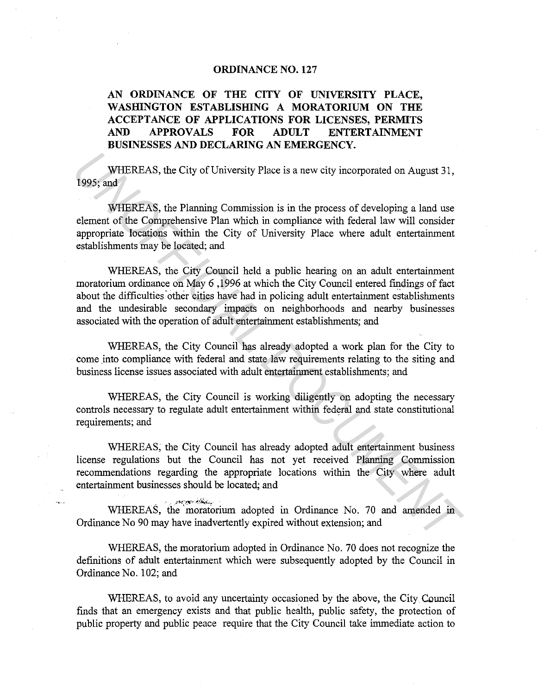## **ORDINANCE NO. 127**

## **AN ORDINANCE OF THE CITY OF UNIVERSITY PLACE, WASHINGTON ESTABLISHING A MORATORIUM ON THE ACCEPTANCE OF APPLICATIONS FOR LICENSES, PERMITS AND APPROVALS FOR ADULT ENTERTAINMENT BUSINESSES AND DECLARING AN EMERGENCY.**

WHEREAS, the City of University Place is a new city incorporated on August 31, 1995; and

WHEREAS, the Planning Commission is in the process of developing a land use element of the Comprehensive Plan which in compliance with federal law will consider appropriate locations within the City of University Place where adult entertainment establishments may be located; and

WHEREAS, the City Council held a public hearing on an adult entertainment moratorium ordinance on May 6 , 1996 at which the City Council entered findings of fact about the difficulties other cities have had in policing adult entertainment establishments and the undesirable secondary impacts on neighborhoods and nearby businesses associated with the operation of adult entertainment establishments; and WHEREAS, the City of University Place is a new eity incorporated on August 31, 1995; and<br>
WHEREAS, the Planning Commission is in the process of developing a land use<br>
element of the Comprehensive Plan which in compliance w

WHEREAS, the City Council has already adopted a work plan for the City to come into compliance with federal and state law requirements relating to the siting and business license issues associated with adult entertainment establishments; and

WHEREAS, the City Council is working diligently on adopting the necessary controls necessary to regulate adult entertainment within federal and state constitutional requirements; and

WHEREAS, the City Council has already adopted adult entertainment business license regulations but the Council has not yet received Planning Commission recommendations regarding the appropriate locations within the City where adult entertainment businesses should be located; and

. **.** l''°"~-.'"11;to·".'~~ **.... ·**  WHEREAS, the 'moratorium adopted in Ordinance No. 70 and amended in Ordinance No 90 may have inadvertently expired without extension; and

WHEREAS, the moratorium adopted in Ordinance No. 70 does not recognize the definitions of adult entertainment which were subsequently adopted by the Council in Ordinance No. 102; and

WHEREAS, to avoid any uncertainty occasioned by the above, the City. Council finds that an emergency exists and that public health, public safety, the protection of public property and public peace require that the City Council take immediate action to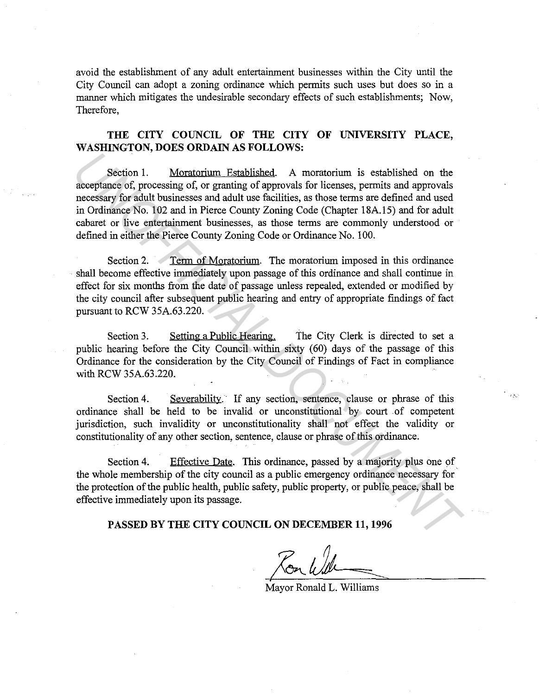avoid the establishment of any adult entertainment businesses within the City until the City Council can adopt a zoning ordinance which permits such uses but does so in a manner which mitigates the undesirable secondary effects of such establishments; Now, Therefore,

## **THE CITY COUNCIL OF THE CITY OF UNIVERSITY PLACE, WASHINGTON, DOES ORDAIN AS FOLLOWS:**

Section 1. Moratorium Established. A moratorium is established on the acceptance of, processing of, or granting of approvals for licenses, permits and approvals necessary for adult businesses and adult use facilities, as those terms are defined and used in Ordinance No. 102 and in Pierce County Zoning Code (Chapter lSA.15) and for adult cabaret or live entertainment businesses, as those terms are commonly understood or defined in either the Pierce County Zoning Code or Ordinance No. 100. **Example 12**<br> **Example 10 11. Moratorium Established.** A moratorium is established on the acceptance of, processing of, or granting of approvals for licenses, permits and approvals incoessing for adult businesses and adu

Section 2. Term of Moratorium. The moratorium imposed in this ordinance shall become effective immediately upon passage of this ordinance and shall continue in effect for six months from the date of passage unless repealed, extended or modified by the city council after subsequent public hearing and entry of appropriate findings of fact pursuant to RCW 35A.63.220.

Section 3. Setting a Public Hearing. The City Clerk is directed to set a public hearing before the City Council within sixty (60) days of the passage of this Ordinance for the consideration by the City Council of Findings of Fact in compliance with RCW 35A.63.220.

Section 4. Severability. If any section, sentence, clause or phrase of this ordinance shall be held to be invalid or unconstitutional by court of competent jurisdiction, such invalidity or unconstitutionality shall not effect the validity or constitutionality of any other section, sentence, clause or phrase of this ordinance.

Section 4. Effective Date. This ordinance, passed by a majority plus one of the whole membership of the city council as a public emergency ordinance necessary for the protection of the public health, public safety, public property, or public peace, shall be effective immediately upon its passage.

## **PASSED BY THE CITY COUNCIL ON DECEMBER 11, 1996**

Mayor Ronald L. Williams